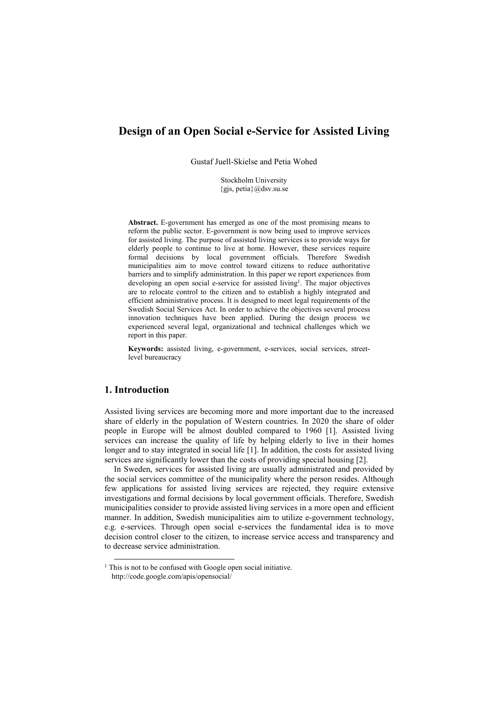# **Design of an Open Social e-Service for Assisted Living**

Gustaf Juell-Skielse and Petia Wohed

Stockholm University {gjs, petia}@dsv.su.se

**Abstract.** E-government has emerged as one of the most promising means to reform the public sector. E-government is now being used to improve services for assisted living. The purpose of assisted living services is to provide ways for elderly people to continue to live at home. However, these services require formal decisions by local government officials. Therefore Swedish municipalities aim to move control toward citizens to reduce authoritative barriers and to simplify administration. In this paper we report experiences from developing an open social e-service for assisted living<sup>1</sup>. The major objectives are to relocate control to the citizen and to establish a highly integrated and efficient administrative process. It is designed to meet legal requirements of the Swedish Social Services Act. In order to achieve the objectives several process innovation techniques have been applied. During the design process we experienced several legal, organizational and technical challenges which we report in this paper.

**Keywords:** assisted living, e-government, e-services, social services, streetlevel bureaucracy

## **1. Introduction**

 $\overline{a}$ 

Assisted living services are becoming more and more important due to the increased share of elderly in the population of Western countries. In 2020 the share of older people in Europe will be almost doubled compared to 1960 [1]. Assisted living services can increase the quality of life by helping elderly to live in their homes longer and to stay integrated in social life [1]. In addition, the costs for assisted living services are significantly lower than the costs of providing special housing [2].

In Sweden, services for assisted living are usually administrated and provided by the social services committee of the municipality where the person resides. Although few applications for assisted living services are rejected, they require extensive investigations and formal decisions by local government officials. Therefore, Swedish municipalities consider to provide assisted living services in a more open and efficient manner. In addition, Swedish municipalities aim to utilize e-government technology, e.g. e-services. Through open social e-services the fundamental idea is to move decision control closer to the citizen, to increase service access and transparency and to decrease service administration.

<sup>&</sup>lt;sup>1</sup> This is not to be confused with Google open social initiative. http://code.google.com/apis/opensocial/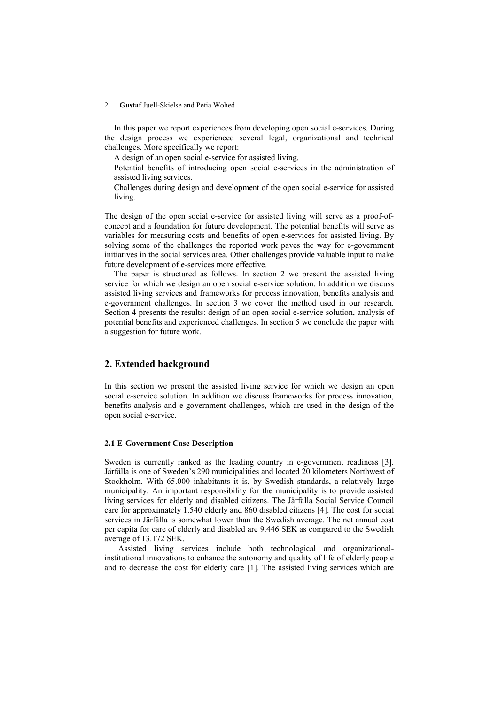In this paper we report experiences from developing open social e-services. During the design process we experienced several legal, organizational and technical challenges. More specifically we report:

- − A design of an open social e-service for assisted living.
- − Potential benefits of introducing open social e-services in the administration of assisted living services.
- − Challenges during design and development of the open social e-service for assisted living.

The design of the open social e-service for assisted living will serve as a proof-ofconcept and a foundation for future development. The potential benefits will serve as variables for measuring costs and benefits of open e-services for assisted living. By solving some of the challenges the reported work paves the way for e-government initiatives in the social services area. Other challenges provide valuable input to make future development of e-services more effective.

The paper is structured as follows. In section 2 we present the assisted living service for which we design an open social e-service solution. In addition we discuss assisted living services and frameworks for process innovation, benefits analysis and e-government challenges. In section 3 we cover the method used in our research. Section 4 presents the results: design of an open social e-service solution, analysis of potential benefits and experienced challenges. In section 5 we conclude the paper with a suggestion for future work.

## **2. Extended background**

In this section we present the assisted living service for which we design an open social e-service solution. In addition we discuss frameworks for process innovation, benefits analysis and e-government challenges, which are used in the design of the open social e-service.

### **2.1 E-Government Case Description**

Sweden is currently ranked as the leading country in e-government readiness [3]. Järfälla is one of Sweden's 290 municipalities and located 20 kilometers Northwest of Stockholm. With 65.000 inhabitants it is, by Swedish standards, a relatively large municipality. An important responsibility for the municipality is to provide assisted living services for elderly and disabled citizens. The Järfälla Social Service Council care for approximately 1.540 elderly and 860 disabled citizens [4]. The cost for social services in Järfälla is somewhat lower than the Swedish average. The net annual cost per capita for care of elderly and disabled are 9.446 SEK as compared to the Swedish average of 13.172 SEK.

 Assisted living services include both technological and organizationalinstitutional innovations to enhance the autonomy and quality of life of elderly people and to decrease the cost for elderly care [1]. The assisted living services which are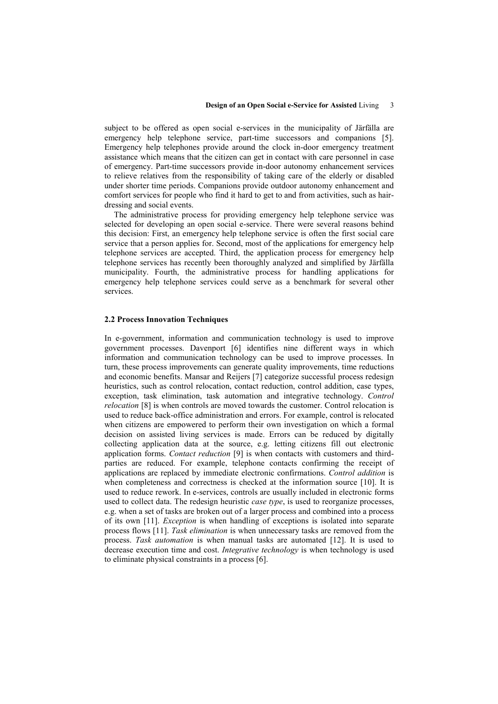subject to be offered as open social e-services in the municipality of Järfälla are emergency help telephone service, part-time successors and companions [5]. Emergency help telephones provide around the clock in-door emergency treatment assistance which means that the citizen can get in contact with care personnel in case of emergency. Part-time successors provide in-door autonomy enhancement services to relieve relatives from the responsibility of taking care of the elderly or disabled under shorter time periods. Companions provide outdoor autonomy enhancement and comfort services for people who find it hard to get to and from activities, such as hairdressing and social events.

The administrative process for providing emergency help telephone service was selected for developing an open social e-service. There were several reasons behind this decision: First, an emergency help telephone service is often the first social care service that a person applies for. Second, most of the applications for emergency help telephone services are accepted. Third, the application process for emergency help telephone services has recently been thoroughly analyzed and simplified by Järfälla municipality. Fourth, the administrative process for handling applications for emergency help telephone services could serve as a benchmark for several other services.

## **2.2 Process Innovation Techniques**

In e-government, information and communication technology is used to improve government processes. Davenport [6] identifies nine different ways in which information and communication technology can be used to improve processes. In turn, these process improvements can generate quality improvements, time reductions and economic benefits. Mansar and Reijers [7] categorize successful process redesign heuristics, such as control relocation, contact reduction, control addition, case types, exception, task elimination, task automation and integrative technology. *Control relocation* [8] is when controls are moved towards the customer. Control relocation is used to reduce back-office administration and errors. For example, control is relocated when citizens are empowered to perform their own investigation on which a formal decision on assisted living services is made. Errors can be reduced by digitally collecting application data at the source, e.g. letting citizens fill out electronic application forms. *Contact reduction* [9] is when contacts with customers and thirdparties are reduced. For example, telephone contacts confirming the receipt of applications are replaced by immediate electronic confirmations. *Control addition* is when completeness and correctness is checked at the information source [10]. It is used to reduce rework. In e-services, controls are usually included in electronic forms used to collect data. The redesign heuristic *case type*, is used to reorganize processes, e.g. when a set of tasks are broken out of a larger process and combined into a process of its own [11]. *Exception* is when handling of exceptions is isolated into separate process flows [11]. *Task elimination* is when unnecessary tasks are removed from the process. *Task automation* is when manual tasks are automated [12]. It is used to decrease execution time and cost. *Integrative technology* is when technology is used to eliminate physical constraints in a process [6].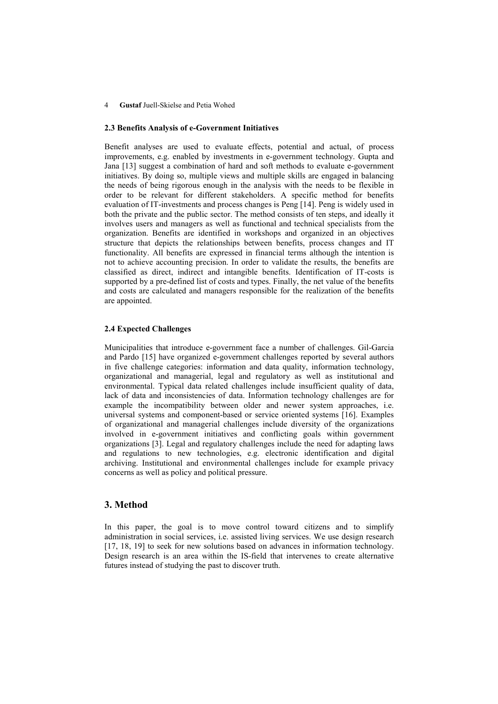#### **2.3 Benefits Analysis of e-Government Initiatives**

Benefit analyses are used to evaluate effects, potential and actual, of process improvements, e.g. enabled by investments in e-government technology. Gupta and Jana [13] suggest a combination of hard and soft methods to evaluate e-government initiatives. By doing so, multiple views and multiple skills are engaged in balancing the needs of being rigorous enough in the analysis with the needs to be flexible in order to be relevant for different stakeholders. A specific method for benefits evaluation of IT-investments and process changes is Peng [14]. Peng is widely used in both the private and the public sector. The method consists of ten steps, and ideally it involves users and managers as well as functional and technical specialists from the organization. Benefits are identified in workshops and organized in an objectives structure that depicts the relationships between benefits, process changes and IT functionality. All benefits are expressed in financial terms although the intention is not to achieve accounting precision. In order to validate the results, the benefits are classified as direct, indirect and intangible benefits. Identification of IT-costs is supported by a pre-defined list of costs and types. Finally, the net value of the benefits and costs are calculated and managers responsible for the realization of the benefits are appointed.

### **2.4 Expected Challenges**

Municipalities that introduce e-government face a number of challenges. Gil-Garcia and Pardo [15] have organized e-government challenges reported by several authors in five challenge categories: information and data quality, information technology, organizational and managerial, legal and regulatory as well as institutional and environmental. Typical data related challenges include insufficient quality of data, lack of data and inconsistencies of data. Information technology challenges are for example the incompatibility between older and newer system approaches, i.e. universal systems and component-based or service oriented systems [16]. Examples of organizational and managerial challenges include diversity of the organizations involved in e-government initiatives and conflicting goals within government organizations [3]. Legal and regulatory challenges include the need for adapting laws and regulations to new technologies, e.g. electronic identification and digital archiving. Institutional and environmental challenges include for example privacy concerns as well as policy and political pressure.

## **3. Method**

In this paper, the goal is to move control toward citizens and to simplify administration in social services, i.e. assisted living services. We use design research [17, 18, 19] to seek for new solutions based on advances in information technology. Design research is an area within the IS-field that intervenes to create alternative futures instead of studying the past to discover truth.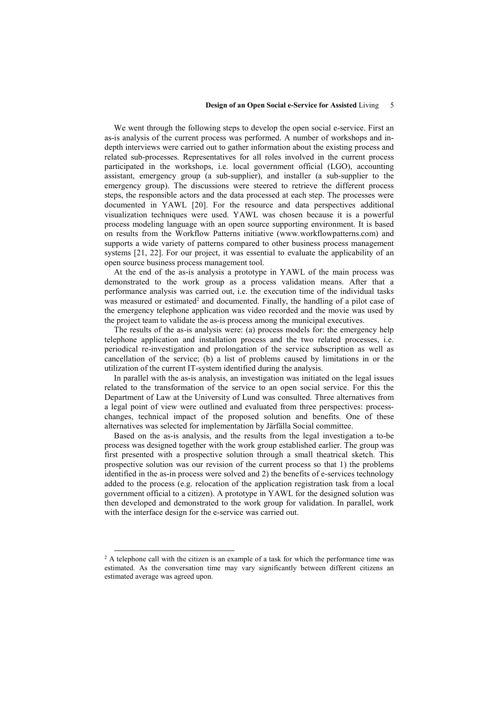We went through the following steps to develop the open social e-service. First an as-is analysis of the current process was performed. A number of workshops and indepth interviews were carried out to gather information about the existing process and related sub-processes. Representatives for all roles involved in the current process participated in the workshops, i.e. local government official (LGO), accounting assistant, emergency group (a sub-supplier), and installer (a sub-supplier to the emergency group). The discussions were steered to retrieve the different process steps, the responsible actors and the data processed at each step. The processes were documented in YAWL [20]. For the resource and data perspectives additional visualization techniques were used. YAWL was chosen because it is a powerful process modeling language with an open source supporting environment. It is based on results from the Workflow Patterns initiative (www.workflowpatterns.com) and supports a wide variety of patterns compared to other business process management systems [21, 22]. For our project, it was essential to evaluate the applicability of an open source business process management tool.

At the end of the as-is analysis a prototype in YAWL of the main process was demonstrated to the work group as a process validation means. After that a performance analysis was carried out, i.e. the execution time of the individual tasks was measured or estimated<sup>2</sup> and documented. Finally, the handling of a pilot case of the emergency telephone application was video recorded and the movie was used by the project team to validate the as-is process among the municipal executives.

The results of the as-is analysis were: (a) process models for: the emergency help telephone application and installation process and the two related processes, i.e. periodical re-investigation and prolongation of the service subscription as well as cancellation of the service; (b) a list of problems caused by limitations in or the utilization of the current IT-system identified during the analysis.

In parallel with the as-is analysis, an investigation was initiated on the legal issues related to the transformation of the service to an open social service. For this the Department of Law at the University of Lund was consulted. Three alternatives from a legal point of view were outlined and evaluated from three perspectives: processchanges, technical impact of the proposed solution and benefits. One of these alternatives was selected for implementation by Järfälla Social committee.

Based on the as-is analysis, and the results from the legal investigation a to-be process was designed together with the work group established earlier. The group was first presented with a prospective solution through a small theatrical sketch. This prospective solution was our revision of the current process so that 1) the problems identified in the as-in process were solved and 2) the benefits of e-services technology added to the process (e.g. relocation of the application registration task from a local government official to a citizen). A prototype in YAWL for the designed solution was then developed and demonstrated to the work group for validation. In parallel, work with the interface design for the e-service was carried out.

l

 $2A$  telephone call with the citizen is an example of a task for which the performance time was estimated. As the conversation time may vary significantly between different citizens an estimated average was agreed upon.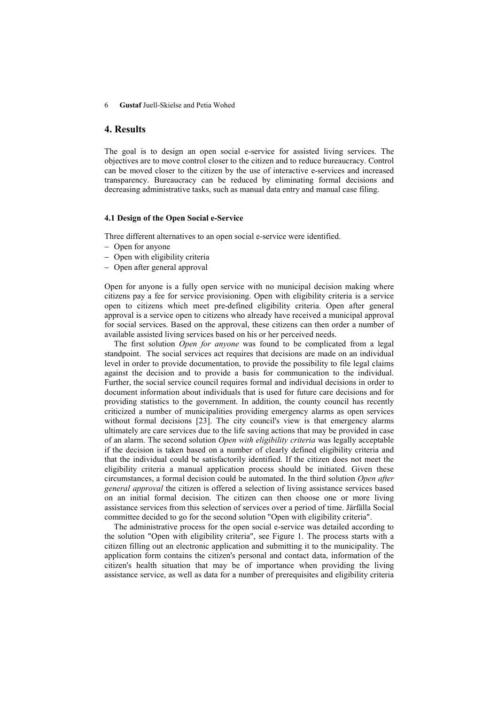## **4. Results**

The goal is to design an open social e-service for assisted living services. The objectives are to move control closer to the citizen and to reduce bureaucracy. Control can be moved closer to the citizen by the use of interactive e-services and increased transparency. Bureaucracy can be reduced by eliminating formal decisions and decreasing administrative tasks, such as manual data entry and manual case filing.

#### **4.1 Design of the Open Social e-Service**

Three different alternatives to an open social e-service were identified.

- − Open for anyone
- − Open with eligibility criteria
- − Open after general approval

Open for anyone is a fully open service with no municipal decision making where citizens pay a fee for service provisioning. Open with eligibility criteria is a service open to citizens which meet pre-defined eligibility criteria. Open after general approval is a service open to citizens who already have received a municipal approval for social services. Based on the approval, these citizens can then order a number of available assisted living services based on his or her perceived needs.

The first solution *Open for anyone* was found to be complicated from a legal standpoint. The social services act requires that decisions are made on an individual level in order to provide documentation, to provide the possibility to file legal claims against the decision and to provide a basis for communication to the individual. Further, the social service council requires formal and individual decisions in order to document information about individuals that is used for future care decisions and for providing statistics to the government. In addition, the county council has recently criticized a number of municipalities providing emergency alarms as open services without formal decisions [23]. The city council's view is that emergency alarms ultimately are care services due to the life saving actions that may be provided in case of an alarm. The second solution *Open with eligibility criteria* was legally acceptable if the decision is taken based on a number of clearly defined eligibility criteria and that the individual could be satisfactorily identified. If the citizen does not meet the eligibility criteria a manual application process should be initiated. Given these circumstances, a formal decision could be automated. In the third solution *Open after general approval* the citizen is offered a selection of living assistance services based on an initial formal decision. The citizen can then choose one or more living assistance services from this selection of services over a period of time. Järfälla Social committee decided to go for the second solution "Open with eligibility criteria".

The administrative process for the open social e-service was detailed according to the solution "Open with eligibility criteria", see Figure 1. The process starts with a citizen filling out an electronic application and submitting it to the municipality. The application form contains the citizen's personal and contact data, information of the citizen's health situation that may be of importance when providing the living assistance service, as well as data for a number of prerequisites and eligibility criteria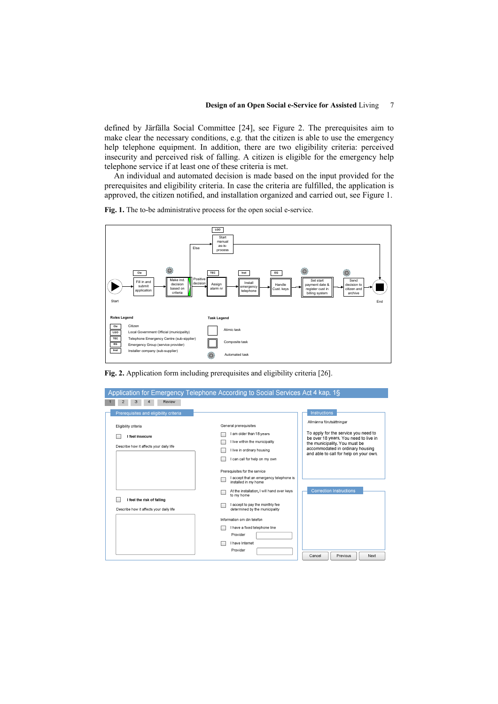defined by Järfälla Social Committee [24], see Figure 2. The prerequisites aim to make clear the necessary conditions, e.g. that the citizen is able to use the emergency help telephone equipment. In addition, there are two eligibility criteria: perceived insecurity and perceived risk of falling. A citizen is eligible for the emergency help telephone service if at least one of these criteria is met.

An individual and automated decision is made based on the input provided for the prerequisites and eligibility criteria. In case the criteria are fulfilled, the application is approved, the citizen notified, and installation organized and carried out, see Figure 1.





**Fig. 2.** Application form including prerequisites and eligibility criteria [26].

|                                         | Application for Emergency Telephone According to Social Services Act 4 kap. 1§ |                                                                            |
|-----------------------------------------|--------------------------------------------------------------------------------|----------------------------------------------------------------------------|
| Review<br>з                             |                                                                                |                                                                            |
| Prerequisites and eligibility criteria  |                                                                                | Instructions                                                               |
| Eligibility criteria                    | General prerequisites                                                          | Allmänna förutsättningar                                                   |
| I feel insecure                         | I am older than 18 years                                                       | To apply for the service you need to                                       |
| Describe how it affects your daily life | I live within the municipality                                                 | be over 18 years. You need to live in<br>the municipality. You must be     |
|                                         | I live in ordinary housing                                                     | accommodated in ordinary housing<br>and able to call for help on your own. |
|                                         | I can call for help on my own                                                  |                                                                            |
|                                         | Prerequisites for the service                                                  |                                                                            |
|                                         | I accept that an emergency telephone is<br>installed in my home                |                                                                            |
| I feel the risk of falling              | At the installation, I will hand over keys<br>to my home                       | <b>Correction Instructions</b>                                             |
| Describe how it affects your daily life | I accept to pay the monthly fee<br>determined by the municipality              |                                                                            |
|                                         | Information om din telefon                                                     |                                                                            |
|                                         | I have a fixed telephone line                                                  |                                                                            |
|                                         | Provider                                                                       |                                                                            |
|                                         | I have Internet                                                                |                                                                            |
|                                         | Provider                                                                       | Cancel<br>Previous<br>Next                                                 |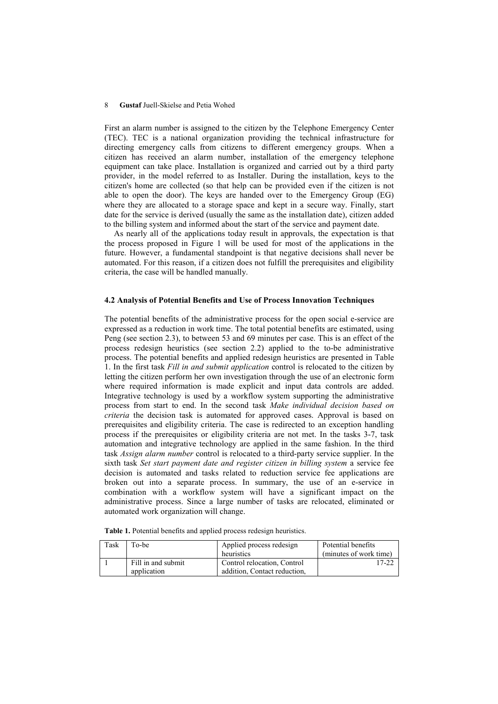First an alarm number is assigned to the citizen by the Telephone Emergency Center (TEC). TEC is a national organization providing the technical infrastructure for directing emergency calls from citizens to different emergency groups. When a citizen has received an alarm number, installation of the emergency telephone equipment can take place. Installation is organized and carried out by a third party provider, in the model referred to as Installer. During the installation, keys to the citizen's home are collected (so that help can be provided even if the citizen is not able to open the door). The keys are handed over to the Emergency Group (EG) where they are allocated to a storage space and kept in a secure way. Finally, start date for the service is derived (usually the same as the installation date), citizen added to the billing system and informed about the start of the service and payment date.

As nearly all of the applications today result in approvals, the expectation is that the process proposed in Figure 1 will be used for most of the applications in the future. However, a fundamental standpoint is that negative decisions shall never be automated. For this reason, if a citizen does not fulfill the prerequisites and eligibility criteria, the case will be handled manually.

## **4.2 Analysis of Potential Benefits and Use of Process Innovation Techniques**

The potential benefits of the administrative process for the open social e-service are expressed as a reduction in work time. The total potential benefits are estimated, using Peng (see section 2.3), to between 53 and 69 minutes per case. This is an effect of the process redesign heuristics (see section 2.2) applied to the to-be administrative process. The potential benefits and applied redesign heuristics are presented in Table 1. In the first task *Fill in and submit application* control is relocated to the citizen by letting the citizen perform her own investigation through the use of an electronic form where required information is made explicit and input data controls are added. Integrative technology is used by a workflow system supporting the administrative process from start to end. In the second task *Make individual decision based on criteria* the decision task is automated for approved cases. Approval is based on prerequisites and eligibility criteria. The case is redirected to an exception handling process if the prerequisites or eligibility criteria are not met. In the tasks 3-7, task automation and integrative technology are applied in the same fashion. In the third task *Assign alarm number* control is relocated to a third-party service supplier. In the sixth task *Set start payment date and register citizen in billing system* a service fee decision is automated and tasks related to reduction service fee applications are broken out into a separate process. In summary, the use of an e-service in combination with a workflow system will have a significant impact on the administrative process. Since a large number of tasks are relocated, eliminated or automated work organization will change.

|  |  |  | Table 1. Potential benefits and applied process redesign heuristics. |  |  |  |  |
|--|--|--|----------------------------------------------------------------------|--|--|--|--|
|--|--|--|----------------------------------------------------------------------|--|--|--|--|

| Task | To-be              | Applied process redesign     | Potential benefits     |
|------|--------------------|------------------------------|------------------------|
|      |                    | heuristics                   | (minutes of work time) |
|      | Fill in and submit | Control relocation, Control  | 17-22                  |
|      | application        | addition, Contact reduction, |                        |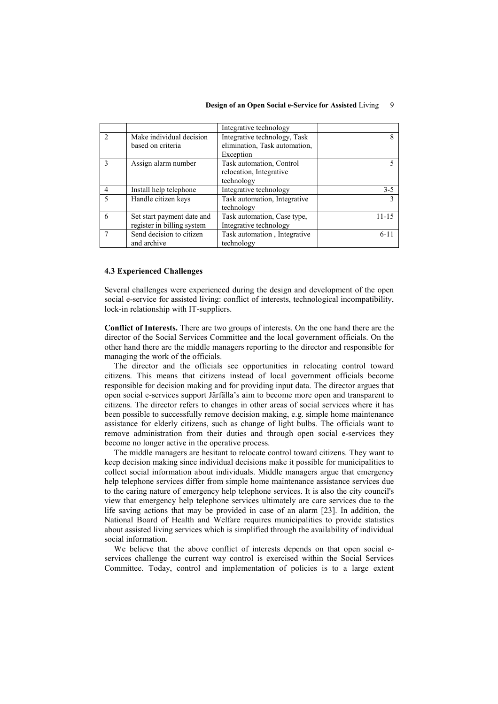|                |                            | Integrative technology        |           |
|----------------|----------------------------|-------------------------------|-----------|
|                | Make individual decision   | Integrative technology, Task  |           |
|                | based on criteria          | elimination, Task automation, |           |
|                |                            | Exception                     |           |
| 3              | Assign alarm number        | Task automation, Control      |           |
|                |                            | relocation, Integrative       |           |
|                |                            | technology                    |           |
| $\overline{4}$ | Install help telephone     | Integrative technology        | $3 - 5$   |
|                | Handle citizen keys        | Task automation, Integrative  |           |
|                |                            | technology                    |           |
| 6              | Set start payment date and | Task automation, Case type,   | $11 - 15$ |
|                | register in billing system | Integrative technology        |           |
|                | Send decision to citizen   | Task automation, Integrative  | $6 - 11$  |
|                | and archive                | technology                    |           |

#### **4.3 Experienced Challenges**

Several challenges were experienced during the design and development of the open social e-service for assisted living: conflict of interests, technological incompatibility, lock-in relationship with IT-suppliers.

**Conflict of Interests.** There are two groups of interests. On the one hand there are the director of the Social Services Committee and the local government officials. On the other hand there are the middle managers reporting to the director and responsible for managing the work of the officials.

The director and the officials see opportunities in relocating control toward citizens. This means that citizens instead of local government officials become responsible for decision making and for providing input data. The director argues that open social e-services support Järfälla's aim to become more open and transparent to citizens. The director refers to changes in other areas of social services where it has been possible to successfully remove decision making, e.g. simple home maintenance assistance for elderly citizens, such as change of light bulbs. The officials want to remove administration from their duties and through open social e-services they become no longer active in the operative process.

The middle managers are hesitant to relocate control toward citizens. They want to keep decision making since individual decisions make it possible for municipalities to collect social information about individuals. Middle managers argue that emergency help telephone services differ from simple home maintenance assistance services due to the caring nature of emergency help telephone services. It is also the city council's view that emergency help telephone services ultimately are care services due to the life saving actions that may be provided in case of an alarm [23]. In addition, the National Board of Health and Welfare requires municipalities to provide statistics about assisted living services which is simplified through the availability of individual social information.

We believe that the above conflict of interests depends on that open social eservices challenge the current way control is exercised within the Social Services Committee. Today, control and implementation of policies is to a large extent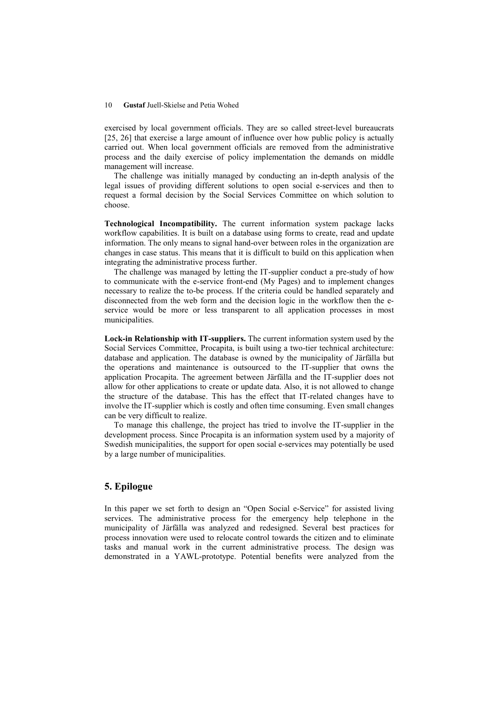exercised by local government officials. They are so called street-level bureaucrats [25, 26] that exercise a large amount of influence over how public policy is actually carried out. When local government officials are removed from the administrative process and the daily exercise of policy implementation the demands on middle management will increase.

The challenge was initially managed by conducting an in-depth analysis of the legal issues of providing different solutions to open social e-services and then to request a formal decision by the Social Services Committee on which solution to choose.

**Technological Incompatibility.** The current information system package lacks workflow capabilities. It is built on a database using forms to create, read and update information. The only means to signal hand-over between roles in the organization are changes in case status. This means that it is difficult to build on this application when integrating the administrative process further.

The challenge was managed by letting the IT-supplier conduct a pre-study of how to communicate with the e-service front-end (My Pages) and to implement changes necessary to realize the to-be process. If the criteria could be handled separately and disconnected from the web form and the decision logic in the workflow then the eservice would be more or less transparent to all application processes in most municipalities.

**Lock-in Relationship with IT-suppliers.** The current information system used by the Social Services Committee, Procapita, is built using a two-tier technical architecture: database and application. The database is owned by the municipality of Järfälla but the operations and maintenance is outsourced to the IT-supplier that owns the application Procapita. The agreement between Järfälla and the IT-supplier does not allow for other applications to create or update data. Also, it is not allowed to change the structure of the database. This has the effect that IT-related changes have to involve the IT-supplier which is costly and often time consuming. Even small changes can be very difficult to realize.

To manage this challenge, the project has tried to involve the IT-supplier in the development process. Since Procapita is an information system used by a majority of Swedish municipalities, the support for open social e-services may potentially be used by a large number of municipalities.

## **5. Epilogue**

In this paper we set forth to design an "Open Social e-Service" for assisted living services. The administrative process for the emergency help telephone in the municipality of Järfälla was analyzed and redesigned. Several best practices for process innovation were used to relocate control towards the citizen and to eliminate tasks and manual work in the current administrative process. The design was demonstrated in a YAWL-prototype. Potential benefits were analyzed from the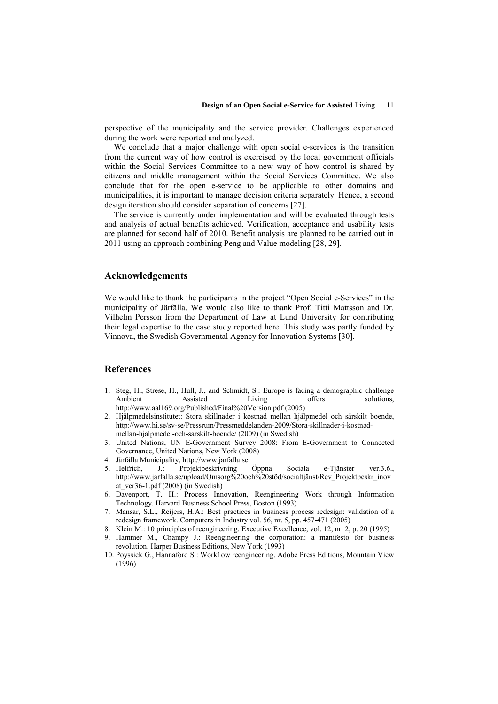perspective of the municipality and the service provider. Challenges experienced during the work were reported and analyzed.

We conclude that a major challenge with open social e-services is the transition from the current way of how control is exercised by the local government officials within the Social Services Committee to a new way of how control is shared by citizens and middle management within the Social Services Committee. We also conclude that for the open e-service to be applicable to other domains and municipalities, it is important to manage decision criteria separately. Hence, a second design iteration should consider separation of concerns [27].

The service is currently under implementation and will be evaluated through tests and analysis of actual benefits achieved. Verification, acceptance and usability tests are planned for second half of 2010. Benefit analysis are planned to be carried out in 2011 using an approach combining Peng and Value modeling [28, 29].

## **Acknowledgements**

We would like to thank the participants in the project "Open Social e-Services" in the municipality of Järfälla. We would also like to thank Prof. Titti Mattsson and Dr. Vilhelm Persson from the Department of Law at Lund University for contributing their legal expertise to the case study reported here. This study was partly funded by Vinnova, the Swedish Governmental Agency for Innovation Systems [30].

### **References**

- 1. Steg, H., Strese, H., Hull, J., and Schmidt, S.: Europe is facing a demographic challenge Ambient Assisted Living offers solutions, http://www.aal169.org/Published/Final%20Version.pdf (2005)
- 2. Hjälpmedelsinstitutet: Stora skillnader i kostnad mellan hjälpmedel och särskilt boende, http://www.hi.se/sv-se/Pressrum/Pressmeddelanden-2009/Stora-skillnader-i-kostnadmellan-hjalpmedel-och-sarskilt-boende/ (2009) (in Swedish)
- 3. United Nations, UN E-Government Survey 2008: From E-Government to Connected Governance, United Nations, New York (2008)
- 4. Järfälla Municipality, http://www.jarfalla.se
- 5. Helfrich, J.: Projektbeskrivning Öppna Sociala e-Tjänster ver.3.6., http://www.jarfalla.se/upload/Omsorg%20och%20stöd/socialtjänst/Rev\_Projektbeskr\_inov at ver $36-1$ .pdf (2008) (in Swedish)
- 6. Davenport, T. H.: Process Innovation, Reengineering Work through Information Technology. Harvard Business School Press, Boston (1993)
- 7. Mansar, S.L., Reijers, H.A.: Best practices in business process redesign: validation of a redesign framework. Computers in Industry vol. 56, nr. 5, pp. 457-471 (2005)
- 8. Klein M.: 10 principles of reengineering. Executive Excellence, vol. 12, nr. 2, p. 20 (1995)
- 9. Hammer M., Champy J.: Reengineering the corporation: a manifesto for business revolution. Harper Business Editions, New York (1993)
- 10. Poyssick G., Hannaford S.: Work1ow reengineering. Adobe Press Editions, Mountain View (1996)